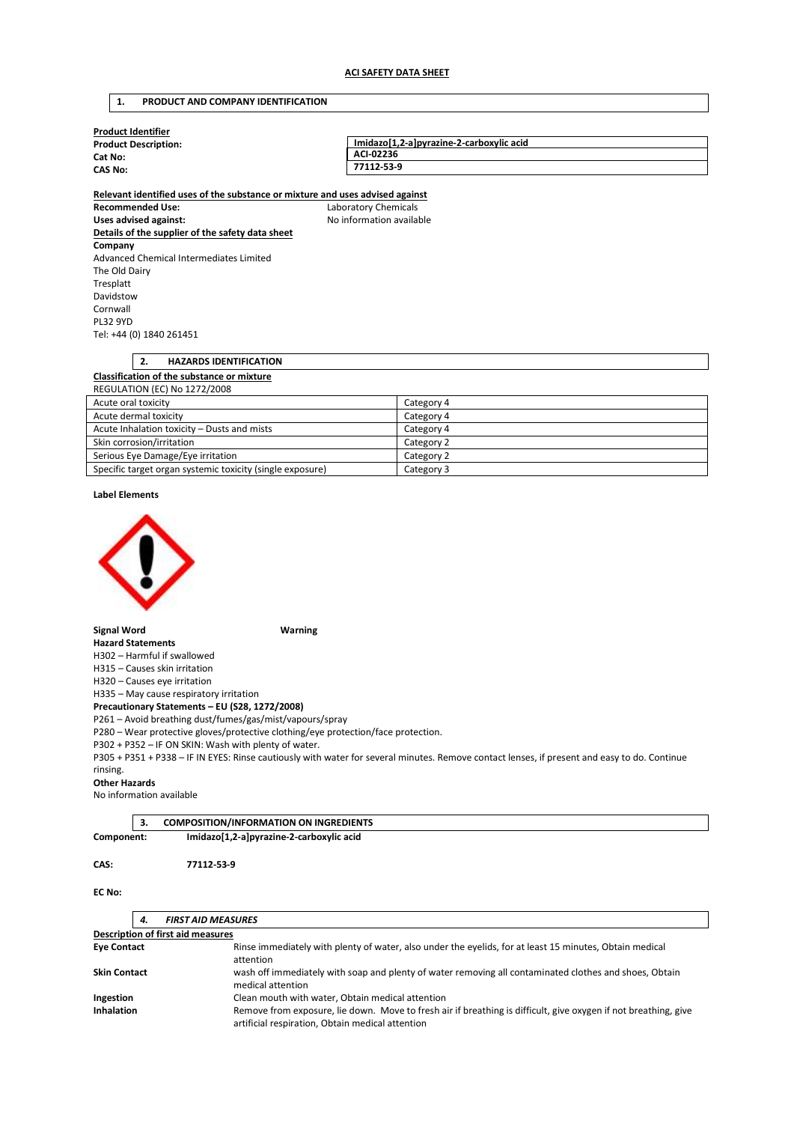# **1. PRODUCT AND COMPANY IDENTIFICATION**

| <b>Product Identifier</b>   |                                          |
|-----------------------------|------------------------------------------|
| <b>Product Description:</b> | Imidazo[1,2-a]pyrazine-2-carboxylic acid |
| Cat No:                     | ACI-02236                                |
| <b>CAS No:</b>              | 77112-53-9                               |
|                             |                                          |

**Relevant identified uses of the substance or mixture and uses advised against Recommended Use:** Laboratory Chemicals Uses advised against: **No information available Details of the supplier of the safety data sheet Company**  Advanced Chemical Intermediates Limited The Old Dairy Tresplatt Davidstow Cornwall PL32 9YD Tel: +44 (0) 1840 261451

| <b>HAZARDS IDENTIFICATION</b><br>2.         |            |  |
|---------------------------------------------|------------|--|
| Classification of the substance or mixture  |            |  |
| <b>REGULATION (EC) No 1272/2008</b>         |            |  |
| Acute oral toxicity                         | Category 4 |  |
| Acute dermal toxicity                       | Category 4 |  |
| Acute Inhalation toxicity - Dusts and mists | Category 4 |  |

| ACULE INIGIBLION LOAICILY<br>DUSLO GITU TIIISLO           | Calcgory + |
|-----------------------------------------------------------|------------|
| Skin corrosion/irritation                                 | Category 2 |
| Serious Eye Damage/Eye irritation                         | Category 2 |
| Specific target organ systemic toxicity (single exposure) | Category 3 |

**Label Elements** 



**Signal Word Warning** 

**Hazard Statements**  H302 – Harmful if swallowed

H315 – Causes skin irritation

H320 – Causes eye irritation

H335 – May cause respiratory irritation

**Precautionary Statements – EU (S28, 1272/2008)** 

P261 – Avoid breathing dust/fumes/gas/mist/vapours/spray

P280 – Wear protective gloves/protective clothing/eye protection/face protection.

P302 + P352 – IF ON SKIN: Wash with plenty of water.

P305 + P351 + P338 – IF IN EYES: Rinse cautiously with water for several minutes. Remove contact lenses, if present and easy to do. Continue rinsing.

### **Other Hazards**

No information available

|            | <b>COMPOSITION/INFORMATION ON INGREDIENTS</b> |  |
|------------|-----------------------------------------------|--|
| Component: | Imidazo[1,2-a]pyrazine-2-carboxylic acid      |  |

## **CAS: 77112-53-9**

**EC No:** 

| 4.                                                            | <b>FIRST AID MEASURES</b>                                                                                                                                           |
|---------------------------------------------------------------|---------------------------------------------------------------------------------------------------------------------------------------------------------------------|
|                                                               | <b>Description of first aid measures</b>                                                                                                                            |
| <b>Eye Contact</b>                                            | Rinse immediately with plenty of water, also under the eyelids, for at least 15 minutes, Obtain medical<br>attention                                                |
| <b>Skin Contact</b>                                           | wash off immediately with soap and plenty of water removing all contaminated clothes and shoes, Obtain<br>medical attention                                         |
| Clean mouth with water, Obtain medical attention<br>Ingestion |                                                                                                                                                                     |
| <b>Inhalation</b>                                             | Remove from exposure, lie down. Move to fresh air if breathing is difficult, give oxygen if not breathing, give<br>artificial respiration, Obtain medical attention |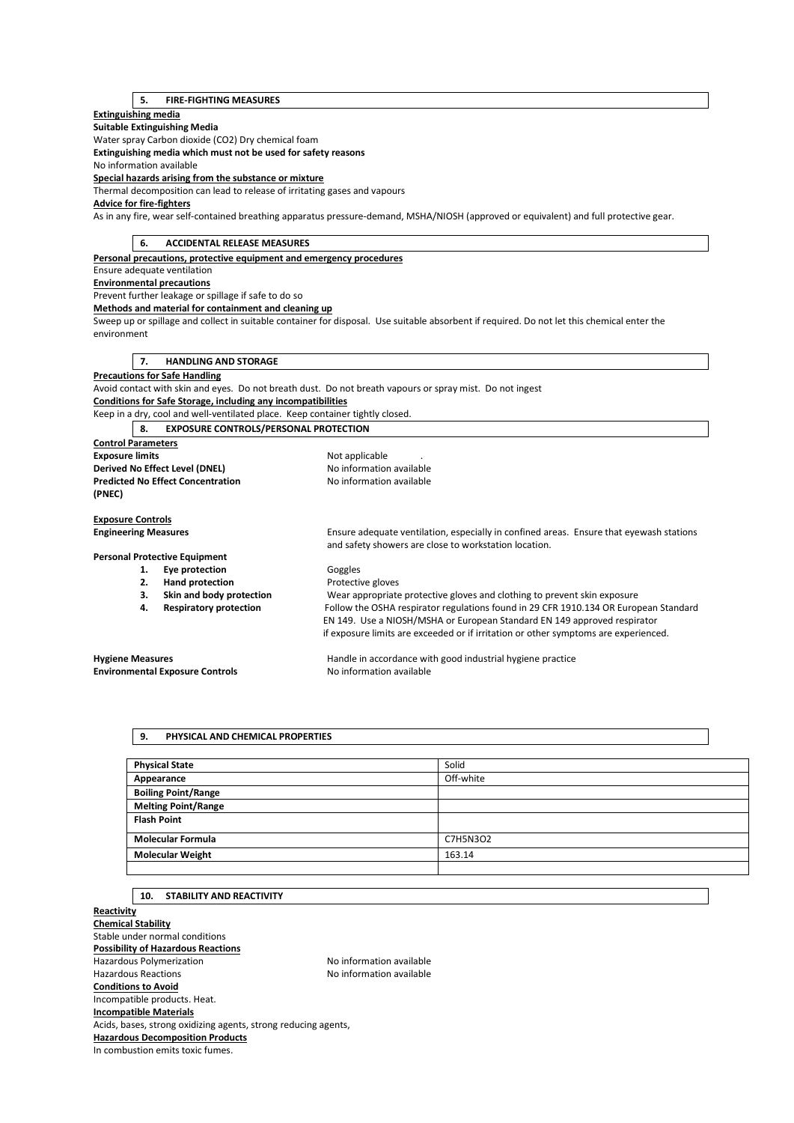# **5. FIRE-FIGHTING MEASURES**

# **Extinguishing media**

**Suitable Extinguishing Media** 

Water spray Carbon dioxide (CO2) Dry chemical foam

**Extinguishing media which must not be used for safety reasons** 

No information available

**Special hazards arising from the substance or mixture** 

Thermal decomposition can lead to release of irritating gases and vapours

# **Advice for fire-fighters**

As in any fire, wear self-contained breathing apparatus pressure-demand, MSHA/NIOSH (approved or equivalent) and full protective gear.

| <b>ACCIDENTAL RELEASE MEASURES</b><br>6.                                      |                                                                                                                                                  |  |
|-------------------------------------------------------------------------------|--------------------------------------------------------------------------------------------------------------------------------------------------|--|
| Personal precautions, protective equipment and emergency procedures           |                                                                                                                                                  |  |
| Ensure adequate ventilation                                                   |                                                                                                                                                  |  |
| <b>Environmental precautions</b>                                              |                                                                                                                                                  |  |
| Prevent further leakage or spillage if safe to do so                          |                                                                                                                                                  |  |
| Methods and material for containment and cleaning up                          |                                                                                                                                                  |  |
|                                                                               | Sweep up or spillage and collect in suitable container for disposal. Use suitable absorbent if required. Do not let this chemical enter the      |  |
| environment                                                                   |                                                                                                                                                  |  |
|                                                                               |                                                                                                                                                  |  |
| <b>HANDLING AND STORAGE</b><br>7.                                             |                                                                                                                                                  |  |
| <b>Precautions for Safe Handling</b>                                          |                                                                                                                                                  |  |
|                                                                               | Avoid contact with skin and eyes. Do not breath dust. Do not breath vapours or spray mist. Do not ingest                                         |  |
| <b>Conditions for Safe Storage, including any incompatibilities</b>           |                                                                                                                                                  |  |
| Keep in a dry, cool and well-ventilated place. Keep container tightly closed. |                                                                                                                                                  |  |
| <b>EXPOSURE CONTROLS/PERSONAL PROTECTION</b><br>8.                            |                                                                                                                                                  |  |
| <b>Control Parameters</b>                                                     |                                                                                                                                                  |  |
| <b>Exposure limits</b>                                                        | Not applicable                                                                                                                                   |  |
| Derived No Effect Level (DNEL)                                                | No information available                                                                                                                         |  |
| <b>Predicted No Effect Concentration</b>                                      | No information available                                                                                                                         |  |
| (PNEC)                                                                        |                                                                                                                                                  |  |
|                                                                               |                                                                                                                                                  |  |
| <b>Exposure Controls</b>                                                      |                                                                                                                                                  |  |
| <b>Engineering Measures</b>                                                   | Ensure adequate ventilation, especially in confined areas. Ensure that eyewash stations<br>and safety showers are close to workstation location. |  |
| <b>Personal Protective Equipment</b>                                          |                                                                                                                                                  |  |
| Eye protection<br>1.                                                          | Goggles                                                                                                                                          |  |
| 2.<br><b>Hand protection</b>                                                  | Protective gloves                                                                                                                                |  |
| Skin and body protection<br>3.                                                | Wear appropriate protective gloves and clothing to prevent skin exposure                                                                         |  |
| <b>Respiratory protection</b><br>4.                                           | Follow the OSHA respirator regulations found in 29 CFR 1910.134 OR European Standard                                                             |  |
|                                                                               | EN 149. Use a NIOSH/MSHA or European Standard EN 149 approved respirator                                                                         |  |
|                                                                               | if exposure limits are exceeded or if irritation or other symptoms are experienced.                                                              |  |
|                                                                               |                                                                                                                                                  |  |
| <b>Hygiene Measures</b>                                                       | Handle in accordance with good industrial hygiene practice                                                                                       |  |
| <b>Environmental Exposure Controls</b>                                        | No information available                                                                                                                         |  |
|                                                                               |                                                                                                                                                  |  |

## **9. PHYSICAL AND CHEMICAL PROPERTIES**

| <b>Physical State</b>      | Solid     |
|----------------------------|-----------|
| Appearance                 | Off-white |
| <b>Boiling Point/Range</b> |           |
| <b>Melting Point/Range</b> |           |
| <b>Flash Point</b>         |           |
| <b>Molecular Formula</b>   | C7H5N3O2  |
| <b>Molecular Weight</b>    | 163.14    |
|                            |           |

# **10. STABILITY AND REACTIVITY**

**Reactivity Chemical Stability**  Stable under normal conditions **Possibility of Hazardous Reactions**  Hazardous Polymerization and the Society of the No information available<br>Hazardous Reactions available No information available No information available **Conditions to Avoid**  Incompatible products. Heat. **Incompatible Materials**  Acids, bases, strong oxidizing agents, strong reducing agents, **Hazardous Decomposition Products**  In combustion emits toxic fumes.